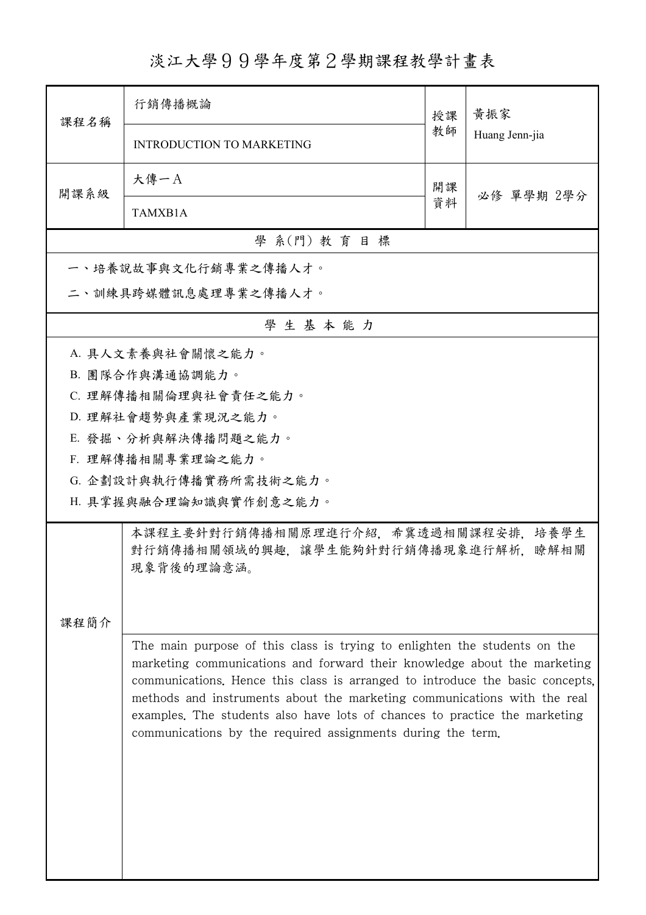## 淡江大學99學年度第2學期課程教學計畫表

| 課程名稱                 | 行銷傳播概論                                                                                            | 授課                                                                                                                                                                                                                                                                                                                                                                                               | 黃振家<br>Huang Jenn-jia |  |  |  |
|----------------------|---------------------------------------------------------------------------------------------------|--------------------------------------------------------------------------------------------------------------------------------------------------------------------------------------------------------------------------------------------------------------------------------------------------------------------------------------------------------------------------------------------------|-----------------------|--|--|--|
|                      | <b>INTRODUCTION TO MARKETING</b>                                                                  | 教師                                                                                                                                                                                                                                                                                                                                                                                               |                       |  |  |  |
| 開課系級                 | 大傳一A                                                                                              | 開課                                                                                                                                                                                                                                                                                                                                                                                               |                       |  |  |  |
|                      | TAMXB1A                                                                                           | 資料                                                                                                                                                                                                                                                                                                                                                                                               | 必修 單學期 2學分            |  |  |  |
| 學 系(門) 教育目標          |                                                                                                   |                                                                                                                                                                                                                                                                                                                                                                                                  |                       |  |  |  |
|                      | 一、培養說故事與文化行銷專業之傳播人才。                                                                              |                                                                                                                                                                                                                                                                                                                                                                                                  |                       |  |  |  |
| 二、訓練具跨媒體訊息處理專業之傳播人才。 |                                                                                                   |                                                                                                                                                                                                                                                                                                                                                                                                  |                       |  |  |  |
| 學生基本能力               |                                                                                                   |                                                                                                                                                                                                                                                                                                                                                                                                  |                       |  |  |  |
|                      | A. 具人文素養與社會關懷之能力。                                                                                 |                                                                                                                                                                                                                                                                                                                                                                                                  |                       |  |  |  |
|                      | B. 團隊合作與溝通協調能力。                                                                                   |                                                                                                                                                                                                                                                                                                                                                                                                  |                       |  |  |  |
|                      | C. 理解傳播相關倫理與社會責任之能力。                                                                              |                                                                                                                                                                                                                                                                                                                                                                                                  |                       |  |  |  |
|                      | D. 理解社會趨勢與產業現況之能力。                                                                                |                                                                                                                                                                                                                                                                                                                                                                                                  |                       |  |  |  |
|                      | E. 發掘、分析與解決傳播問題之能力。                                                                               |                                                                                                                                                                                                                                                                                                                                                                                                  |                       |  |  |  |
|                      | F. 理解傳播相關專業理論之能力。                                                                                 |                                                                                                                                                                                                                                                                                                                                                                                                  |                       |  |  |  |
|                      | G. 企劃設計與執行傳播實務所需技術之能力。                                                                            |                                                                                                                                                                                                                                                                                                                                                                                                  |                       |  |  |  |
|                      | H. 具掌握與融合理論知識與實作創意之能力。                                                                            |                                                                                                                                                                                                                                                                                                                                                                                                  |                       |  |  |  |
|                      | 培養學生<br>本課程主要針對行銷傳播相關原理進行介紹,希冀透過相關課程安排,<br>對行銷傳播相關領域的興趣, 讓學生能夠針對行銷傳播現象進行解析,<br>瞭解相關<br>現象背後的理論意涵。 |                                                                                                                                                                                                                                                                                                                                                                                                  |                       |  |  |  |
|                      |                                                                                                   |                                                                                                                                                                                                                                                                                                                                                                                                  |                       |  |  |  |
| 課程簡介                 |                                                                                                   |                                                                                                                                                                                                                                                                                                                                                                                                  |                       |  |  |  |
|                      | communications by the required assignments during the term.                                       | The main purpose of this class is trying to enlighten the students on the<br>marketing communications and forward their knowledge about the marketing<br>communications. Hence this class is arranged to introduce the basic concepts,<br>methods and instruments about the marketing communications with the real<br>examples. The students also have lots of chances to practice the marketing |                       |  |  |  |
|                      |                                                                                                   |                                                                                                                                                                                                                                                                                                                                                                                                  |                       |  |  |  |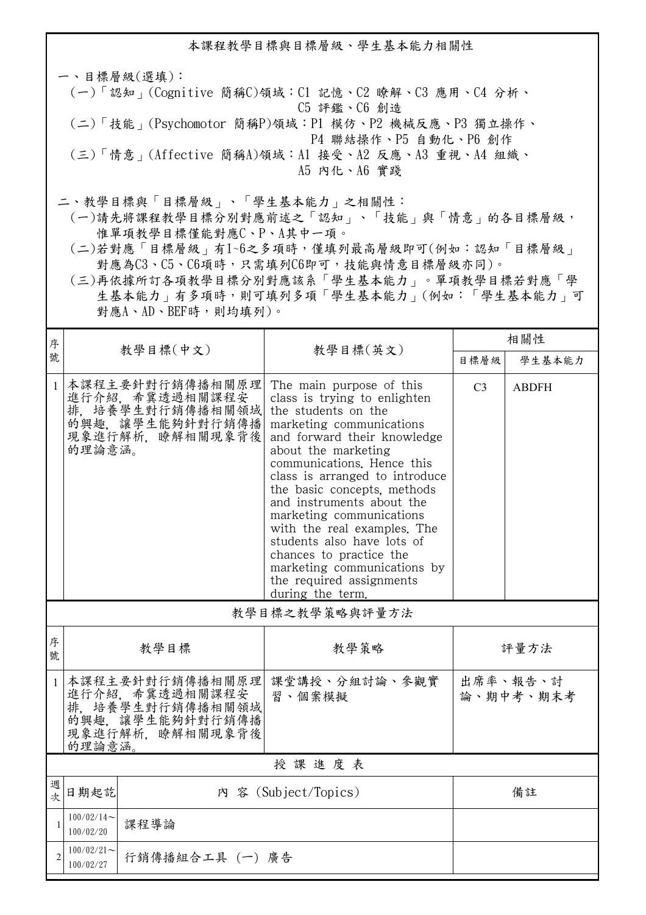本課程教學目標與目標層級、學生基本能力相關性

一、目標層級(選填): (一)「認知」(Cognitive 簡稱C)領域:C1 記憶、C2 瞭解、C3 應用、C4 分析、 C5 評鑑、C6 創造 (二)「技能」(Psychomotor 簡稱P)領域:P1 模仿、P2 機械反應、P3 獨立操作、 P4 聯結操作、P5 自動化、P6 創作 (三)「情意」(Affective 簡稱A)領域:A1 接受、A2 反應、A3 重視、A4 組織、 A5 內化、A6 實踐

二、教學目標與「目標層級」、「學生基本能力」之相關性:

 (一)請先將課程教學目標分別對應前述之「認知」、「技能」與「情意」的各目標層級, 惟單項教學目標僅能對應C、P、A其中一項。

 (二)若對應「目標層級」有1~6之多項時,僅填列最高層級即可(例如:認知「目標層級」 對應為C3、C5、C6項時,只需填列C6即可,技能與情意目標層級亦同)。

 (三)再依據所訂各項教學目標分別對應該系「學生基本能力」。單項教學目標若對應「學 生基本能力」有多項時,則可填列多項「學生基本能力」(例如:「學生基本能力」可 對應A、AD、BEF時,則均填列)。

| 序            |                                                                                                         |          |                                                                                                                                                                                                                                                                                                                                                                                                                                                                                                  | 相關性                   |              |  |  |
|--------------|---------------------------------------------------------------------------------------------------------|----------|--------------------------------------------------------------------------------------------------------------------------------------------------------------------------------------------------------------------------------------------------------------------------------------------------------------------------------------------------------------------------------------------------------------------------------------------------------------------------------------------------|-----------------------|--------------|--|--|
| 號            |                                                                                                         | 教學目標(中文) | 教學目標(英文)                                                                                                                                                                                                                                                                                                                                                                                                                                                                                         | 目標層級                  | 學生基本能力       |  |  |
| $\mathbf{1}$ | 本課程主要針對行銷傳播相關原理<br>進行介紹, 希冀透過相關課程安<br>排, 培養學生對行銷傳播相關領域<br>的興趣,讓學生能夠針對行銷傳播<br>現象進行解析, 瞭解相關現象背後<br>的理論意涵。 |          | The main purpose of this<br>class is trying to enlighten<br>the students on the<br>marketing communications<br>and forward their knowledge<br>about the marketing<br>communications. Hence this<br>class is arranged to introduce<br>the basic concepts, methods<br>and instruments about the<br>marketing communications<br>with the real examples. The<br>students also have lots of<br>chances to practice the<br>marketing communications by<br>the required assignments<br>during the term. | C <sub>3</sub>        | <b>ABDFH</b> |  |  |
|              | 教學目標之教學策略與評量方法                                                                                          |          |                                                                                                                                                                                                                                                                                                                                                                                                                                                                                                  |                       |              |  |  |
| 序<br>號       | 教學目標                                                                                                    |          | 教學策略                                                                                                                                                                                                                                                                                                                                                                                                                                                                                             | 評量方法                  |              |  |  |
| $\mathbf{1}$ | 本課程主要針對行銷傳播相關原理<br>進行介紹, 希冀透過相關課程安<br>排, 培養學生對行銷傳播相關領域<br>的興趣, 讓學生能夠針對行銷傳播<br>現象進行解析、瞭解相關現象背後<br>的理論意涵。 |          | 課堂講授、分組討論、參觀實<br>習、個案模擬                                                                                                                                                                                                                                                                                                                                                                                                                                                                          | 出席率、報告、討<br>論、期中考、期末考 |              |  |  |
|              | 授課進度表                                                                                                   |          |                                                                                                                                                                                                                                                                                                                                                                                                                                                                                                  |                       |              |  |  |
| 週<br>次       | 日期起訖                                                                                                    |          | 內 容 (Subject/Topics)                                                                                                                                                                                                                                                                                                                                                                                                                                                                             |                       | 備註           |  |  |
| 1            | $100/02/14$ ~<br>課程導論<br>100/02/20                                                                      |          |                                                                                                                                                                                                                                                                                                                                                                                                                                                                                                  |                       |              |  |  |
|              | $100/02/21$ ~<br>行銷傳播組合工具 (一) 廣告<br>100/02/27                                                           |          |                                                                                                                                                                                                                                                                                                                                                                                                                                                                                                  |                       |              |  |  |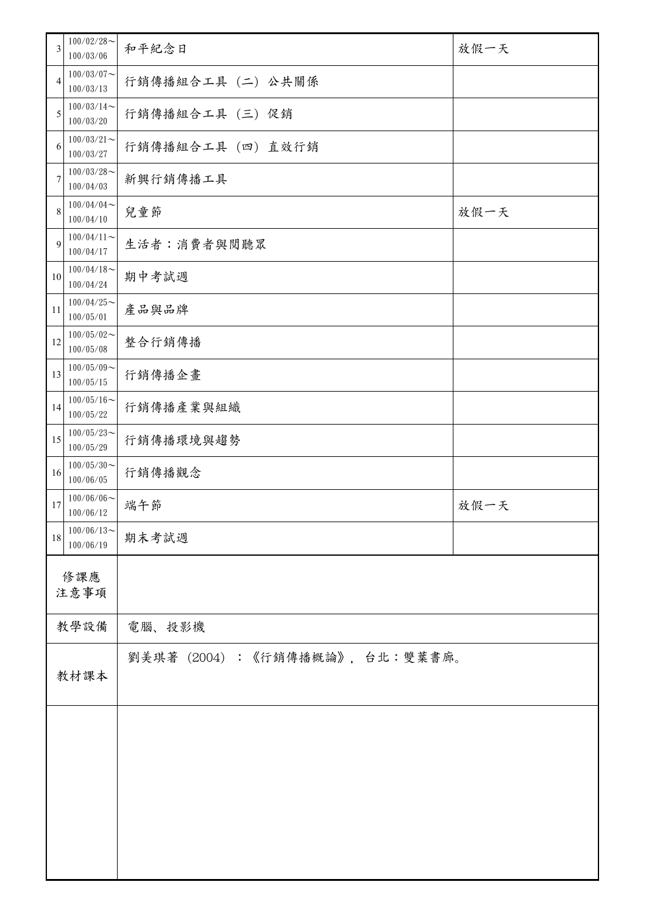| 3              | $100/02/28$ ~<br>100/03/06 | 和平紀念日                           | 放假一天 |  |
|----------------|----------------------------|---------------------------------|------|--|
| $\overline{4}$ | $100/03/07$ ~<br>100/03/13 | 行銷傳播組合工具 (二) 公共關係               |      |  |
| 5              | $100/03/14$ ~<br>100/03/20 | 行銷傳播組合工具 (三) 促銷                 |      |  |
| 6              | $100/03/21$ ~<br>100/03/27 | 行銷傳播組合工具 (四) 直效行銷               |      |  |
| $\tau$         | $100/03/28$ ~<br>100/04/03 | 新興行銷傳播工具                        |      |  |
| 8              | $100/04/04$ ~<br>100/04/10 | 兒童節                             | 放假一天 |  |
| 9              | $100/04/11$ ~<br>100/04/17 | 生活者:消費者與閱聽眾                     |      |  |
| 10             | $100/04/18$ ~<br>100/04/24 | 期中考試週                           |      |  |
| 11             | $100/04/25$ ~<br>100/05/01 | 產品與品牌                           |      |  |
| 12             | $100/05/02$ ~<br>100/05/08 | 整合行銷傳播                          |      |  |
| 13             | $100/05/09$ ~<br>100/05/15 | 行銷傳播企畫                          |      |  |
| 14             | $100/05/16$ ~<br>100/05/22 | 行銷傳播產業與組織                       |      |  |
| 15             | $100/05/23$ ~<br>100/05/29 | 行銷傳播環境與趨勢                       |      |  |
| 16             | $100/05/30$ ~<br>100/06/05 | 行銷傳播觀念                          |      |  |
| 17             | $100/06/06$ ~<br>100/06/12 | 端午節                             | 放假一天 |  |
| 18             | $100/06/13$ ~<br>100/06/19 | 期末考試週                           |      |  |
| 修課應<br>注意事項    |                            |                                 |      |  |
|                | 教學設備                       | 電腦、投影機                          |      |  |
| 教材課本           |                            | 劉美琪著 (2004) :《行銷傳播概論》, 台北:雙葉書廊。 |      |  |
|                |                            |                                 |      |  |
|                |                            |                                 |      |  |
|                |                            |                                 |      |  |
|                |                            |                                 |      |  |
|                |                            |                                 |      |  |